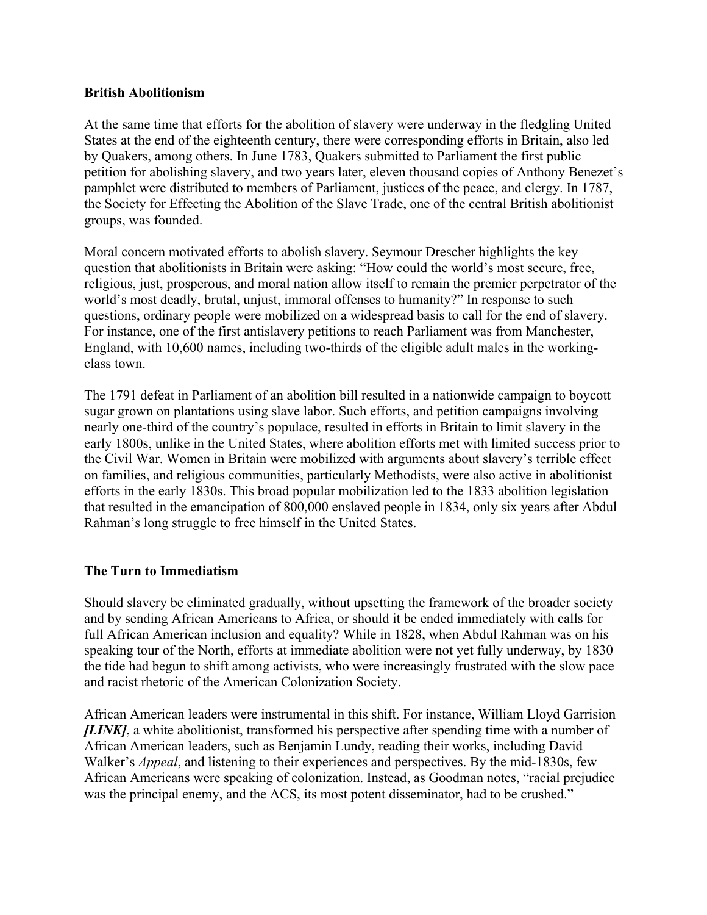## **British Abolitionism**

At the same time that efforts for the abolition of slavery were underway in the fledgling United States at the end of the eighteenth century, there were corresponding efforts in Britain, also led by Quakers, among others. In June 1783, Quakers submitted to Parliament the first public petition for abolishing slavery, and two years later, eleven thousand copies of Anthony Benezet's pamphlet were distributed to members of Parliament, justices of the peace, and clergy. In 1787, the Society for Effecting the Abolition of the Slave Trade, one of the central British abolitionist groups, was founded.

Moral concern motivated efforts to abolish slavery. Seymour Drescher highlights the key question that abolitionists in Britain were asking: "How could the world's most secure, free, religious, just, prosperous, and moral nation allow itself to remain the premier perpetrator of the world's most deadly, brutal, unjust, immoral offenses to humanity?" In response to such questions, ordinary people were mobilized on a widespread basis to call for the end of slavery. For instance, one of the first antislavery petitions to reach Parliament was from Manchester, England, with 10,600 names, including two-thirds of the eligible adult males in the workingclass town.

The 1791 defeat in Parliament of an abolition bill resulted in a nationwide campaign to boycott sugar grown on plantations using slave labor. Such efforts, and petition campaigns involving nearly one-third of the country's populace, resulted in efforts in Britain to limit slavery in the early 1800s, unlike in the United States, where abolition efforts met with limited success prior to the Civil War. Women in Britain were mobilized with arguments about slavery's terrible effect on families, and religious communities, particularly Methodists, were also active in abolitionist efforts in the early 1830s. This broad popular mobilization led to the 1833 abolition legislation that resulted in the emancipation of 800,000 enslaved people in 1834, only six years after Abdul Rahman's long struggle to free himself in the United States.

## **The Turn to Immediatism**

Should slavery be eliminated gradually, without upsetting the framework of the broader society and by sending African Americans to Africa, or should it be ended immediately with calls for full African American inclusion and equality? While in 1828, when Abdul Rahman was on his speaking tour of the North, efforts at immediate abolition were not yet fully underway, by 1830 the tide had begun to shift among activists, who were increasingly frustrated with the slow pace and racist rhetoric of the American Colonization Society.

African American leaders were instrumental in this shift. For instance, William Lloyd Garrision *[LINK]*, a white abolitionist, transformed his perspective after spending time with a number of African American leaders, such as Benjamin Lundy, reading their works, including David Walker's *Appeal*, and listening to their experiences and perspectives. By the mid-1830s, few African Americans were speaking of colonization. Instead, as Goodman notes, "racial prejudice was the principal enemy, and the ACS, its most potent disseminator, had to be crushed."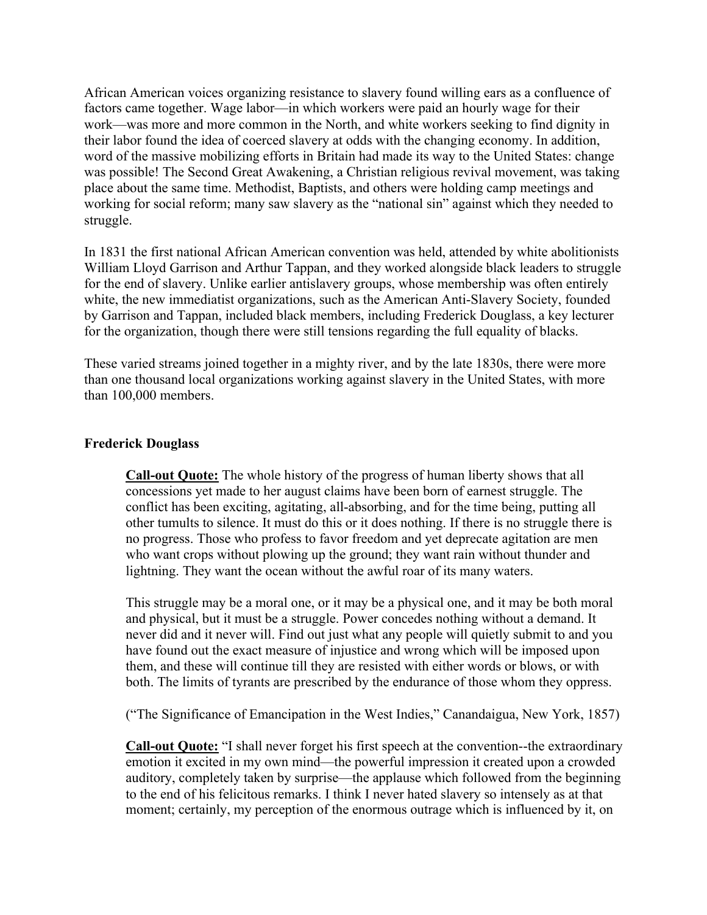African American voices organizing resistance to slavery found willing ears as a confluence of factors came together. Wage labor—in which workers were paid an hourly wage for their work—was more and more common in the North, and white workers seeking to find dignity in their labor found the idea of coerced slavery at odds with the changing economy. In addition, word of the massive mobilizing efforts in Britain had made its way to the United States: change was possible! The Second Great Awakening, a Christian religious revival movement, was taking place about the same time. Methodist, Baptists, and others were holding camp meetings and working for social reform; many saw slavery as the "national sin" against which they needed to struggle.

In 1831 the first national African American convention was held, attended by white abolitionists William Lloyd Garrison and Arthur Tappan, and they worked alongside black leaders to struggle for the end of slavery. Unlike earlier antislavery groups, whose membership was often entirely white, the new immediatist organizations, such as the American Anti-Slavery Society, founded by Garrison and Tappan, included black members, including Frederick Douglass, a key lecturer for the organization, though there were still tensions regarding the full equality of blacks.

These varied streams joined together in a mighty river, and by the late 1830s, there were more than one thousand local organizations working against slavery in the United States, with more than 100,000 members.

## **Frederick Douglass**

**Call-out Quote:** The whole history of the progress of human liberty shows that all concessions yet made to her august claims have been born of earnest struggle. The conflict has been exciting, agitating, all-absorbing, and for the time being, putting all other tumults to silence. It must do this or it does nothing. If there is no struggle there is no progress. Those who profess to favor freedom and yet deprecate agitation are men who want crops without plowing up the ground; they want rain without thunder and lightning. They want the ocean without the awful roar of its many waters.

This struggle may be a moral one, or it may be a physical one, and it may be both moral and physical, but it must be a struggle. Power concedes nothing without a demand. It never did and it never will. Find out just what any people will quietly submit to and you have found out the exact measure of injustice and wrong which will be imposed upon them, and these will continue till they are resisted with either words or blows, or with both. The limits of tyrants are prescribed by the endurance of those whom they oppress.

("The Significance of Emancipation in the West Indies," Canandaigua, New York, 1857)

**Call-out Quote:** "I shall never forget his first speech at the convention--the extraordinary emotion it excited in my own mind—the powerful impression it created upon a crowded auditory, completely taken by surprise—the applause which followed from the beginning to the end of his felicitous remarks. I think I never hated slavery so intensely as at that moment; certainly, my perception of the enormous outrage which is influenced by it, on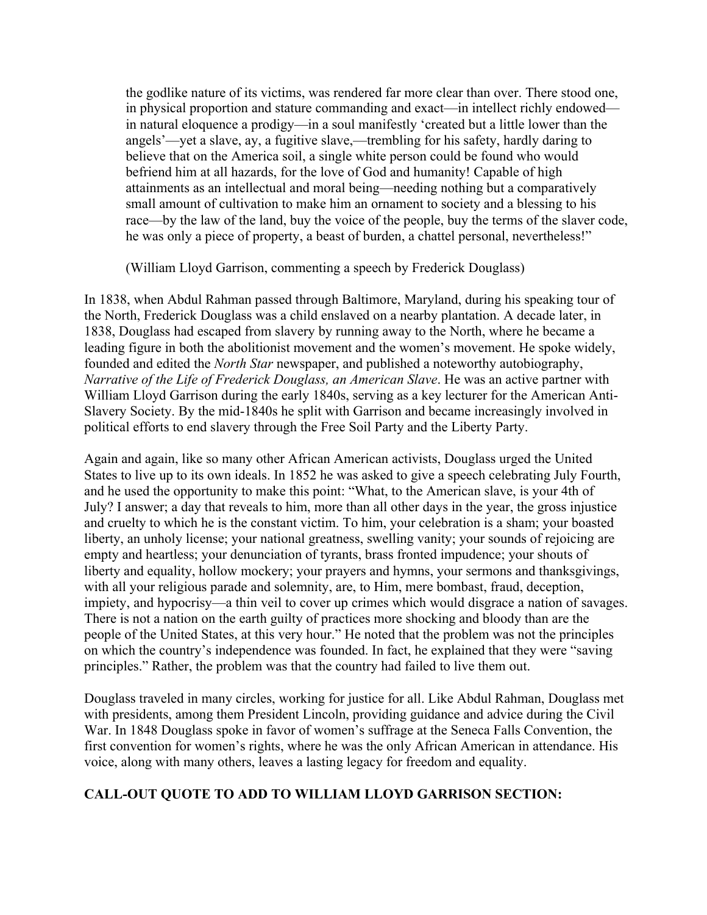the godlike nature of its victims, was rendered far more clear than over. There stood one, in physical proportion and stature commanding and exact—in intellect richly endowed in natural eloquence a prodigy—in a soul manifestly 'created but a little lower than the angels'—yet a slave, ay, a fugitive slave,—trembling for his safety, hardly daring to believe that on the America soil, a single white person could be found who would befriend him at all hazards, for the love of God and humanity! Capable of high attainments as an intellectual and moral being—needing nothing but a comparatively small amount of cultivation to make him an ornament to society and a blessing to his race—by the law of the land, buy the voice of the people, buy the terms of the slaver code, he was only a piece of property, a beast of burden, a chattel personal, nevertheless!"

(William Lloyd Garrison, commenting a speech by Frederick Douglass)

In 1838, when Abdul Rahman passed through Baltimore, Maryland, during his speaking tour of the North, Frederick Douglass was a child enslaved on a nearby plantation. A decade later, in 1838, Douglass had escaped from slavery by running away to the North, where he became a leading figure in both the abolitionist movement and the women's movement. He spoke widely, founded and edited the *North Star* newspaper, and published a noteworthy autobiography, *Narrative of the Life of Frederick Douglass, an American Slave*. He was an active partner with William Lloyd Garrison during the early 1840s, serving as a key lecturer for the American Anti-Slavery Society. By the mid-1840s he split with Garrison and became increasingly involved in political efforts to end slavery through the Free Soil Party and the Liberty Party.

Again and again, like so many other African American activists, Douglass urged the United States to live up to its own ideals. In 1852 he was asked to give a speech celebrating July Fourth, and he used the opportunity to make this point: "What, to the American slave, is your 4th of July? I answer; a day that reveals to him, more than all other days in the year, the gross injustice and cruelty to which he is the constant victim. To him, your celebration is a sham; your boasted liberty, an unholy license; your national greatness, swelling vanity; your sounds of rejoicing are empty and heartless; your denunciation of tyrants, brass fronted impudence; your shouts of liberty and equality, hollow mockery; your prayers and hymns, your sermons and thanksgivings, with all your religious parade and solemnity, are, to Him, mere bombast, fraud, deception, impiety, and hypocrisy—a thin veil to cover up crimes which would disgrace a nation of savages. There is not a nation on the earth guilty of practices more shocking and bloody than are the people of the United States, at this very hour." He noted that the problem was not the principles on which the country's independence was founded. In fact, he explained that they were "saving principles." Rather, the problem was that the country had failed to live them out.

Douglass traveled in many circles, working for justice for all. Like Abdul Rahman, Douglass met with presidents, among them President Lincoln, providing guidance and advice during the Civil War. In 1848 Douglass spoke in favor of women's suffrage at the Seneca Falls Convention, the first convention for women's rights, where he was the only African American in attendance. His voice, along with many others, leaves a lasting legacy for freedom and equality.

## **CALL-OUT QUOTE TO ADD TO WILLIAM LLOYD GARRISON SECTION:**